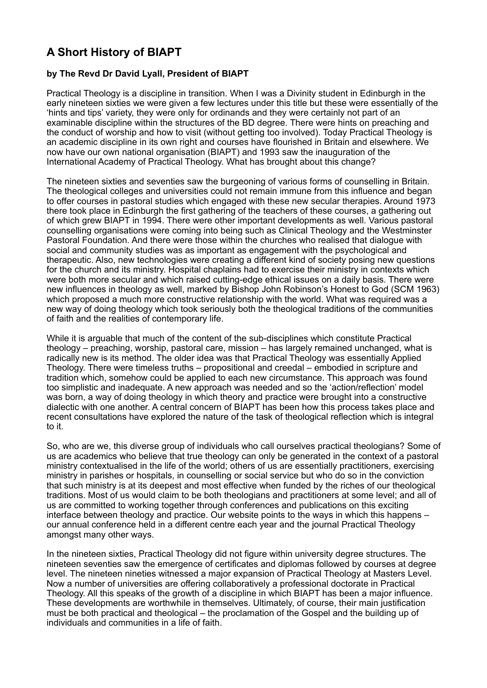## **A Short History of BIAPT**

## **by The Revd Dr David Lyall, President of BIAPT**

Practical Theology is a discipline in transition. When I was a Divinity student in Edinburgh in the early nineteen sixties we were given a few lectures under this title but these were essentially of the 'hints and tips' variety, they were only for ordinands and they were certainly not part of an examinable discipline within the structures of the BD degree. There were hints on preaching and the conduct of worship and how to visit (without getting too involved). Today Practical Theology is an academic discipline in its own right and courses have flourished in Britain and elsewhere. We now have our own national organisation (BIAPT) and 1993 saw the inauguration of the International Academy of Practical Theology. What has brought about this change?

The nineteen sixties and seventies saw the burgeoning of various forms of counselling in Britain. The theological colleges and universities could not remain immune from this influence and began to offer courses in pastoral studies which engaged with these new secular therapies. Around 1973 there took place in Edinburgh the first gathering of the teachers of these courses, a gathering out of which grew BIAPT in 1994. There were other important developments as well. Various pastoral counselling organisations were coming into being such as Clinical Theology and the Westminster Pastoral Foundation. And there were those within the churches who realised that dialogue with social and community studies was as important as engagement with the psychological and therapeutic. Also, new technologies were creating a different kind of society posing new questions for the church and its ministry. Hospital chaplains had to exercise their ministry in contexts which were both more secular and which raised cutting-edge ethical issues on a daily basis. There were new influences in theology as well, marked by Bishop John Robinson's Honest to God (SCM 1963) which proposed a much more constructive relationship with the world. What was required was a new way of doing theology which took seriously both the theological traditions of the communities of faith and the realities of contemporary life.

While it is arguable that much of the content of the sub-disciplines which constitute Practical theology – preaching, worship, pastoral care, mission – has largely remained unchanged, what is radically new is its method. The older idea was that Practical Theology was essentially Applied Theology. There were timeless truths – propositional and creedal – embodied in scripture and tradition which, somehow could be applied to each new circumstance. This approach was found too simplistic and inadequate. A new approach was needed and so the 'action/reflection' model was born, a way of doing theology in which theory and practice were brought into a constructive dialectic with one another. A central concern of BIAPT has been how this process takes place and recent consultations have explored the nature of the task of theological reflection which is integral to it.

So, who are we, this diverse group of individuals who call ourselves practical theologians? Some of us are academics who believe that true theology can only be generated in the context of a pastoral ministry contextualised in the life of the world; others of us are essentially practitioners, exercising ministry in parishes or hospitals, in counselling or social service but who do so in the conviction that such ministry is at its deepest and most effective when funded by the riches of our theological traditions. Most of us would claim to be both theologians and practitioners at some level; and all of us are committed to working together through conferences and publications on this exciting interface between theology and practice. Our website points to the ways in which this happens – our annual conference held in a different centre each year and the journal Practical Theology amongst many other ways.

In the nineteen sixties, Practical Theology did not figure within university degree structures. The nineteen seventies saw the emergence of certificates and diplomas followed by courses at degree level. The nineteen nineties witnessed a major expansion of Practical Theology at Masters Level. Now a number of universities are offering collaboratively a professional doctorate in Practical Theology. All this speaks of the growth of a discipline in which BIAPT has been a major influence. These developments are worthwhile in themselves. Ultimately, of course, their main justification must be both practical and theological – the proclamation of the Gospel and the building up of individuals and communities in a life of faith.